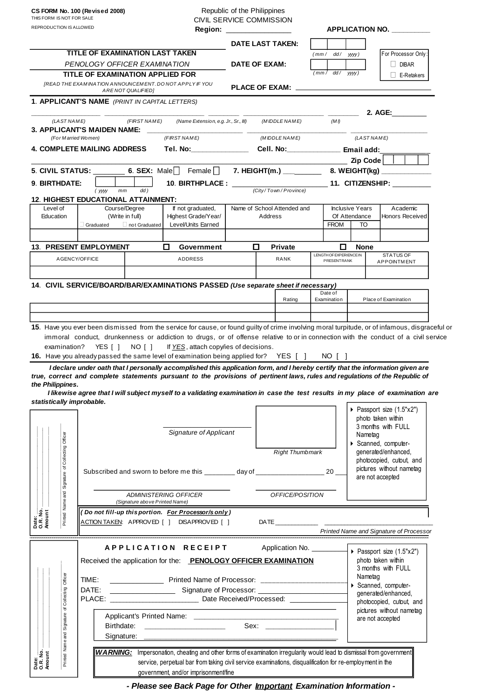THIS FORM IS NOT FOR SALE CIVIL SERVICE COMMISSION

| REPRODUCTION IS ALLOWED                                                                                                                                 |                                                                              |                                                                | <b>Region:</b>                                                                                                                  |                                        |                                                     |                            |                              |                                                    |                                         | <b>APPLICATION NO.</b>                               |  |
|---------------------------------------------------------------------------------------------------------------------------------------------------------|------------------------------------------------------------------------------|----------------------------------------------------------------|---------------------------------------------------------------------------------------------------------------------------------|----------------------------------------|-----------------------------------------------------|----------------------------|------------------------------|----------------------------------------------------|-----------------------------------------|------------------------------------------------------|--|
|                                                                                                                                                         |                                                                              |                                                                |                                                                                                                                 |                                        |                                                     | DATE LAST TAKEN:           |                              |                                                    |                                         |                                                      |  |
|                                                                                                                                                         |                                                                              | <b>TITLE OF EXAMINATION LAST TAKEN</b>                         |                                                                                                                                 |                                        |                                                     |                            |                              | (mm / dd / yyy)                                    |                                         | For Processor Only:                                  |  |
| PENOLOGY OFFICER EXAMINATION<br>TITLE OF EXAMINATION APPLIED FOR<br>[READ THE EXAMINATION ANNOUNCEMENT. DO NOT APPLY IF YOU<br><b>ARENOT QUALIFIED]</b> |                                                                              |                                                                |                                                                                                                                 |                                        | DATE OF EXAM:                                       |                            |                              |                                                    |                                         | DIBAR                                                |  |
|                                                                                                                                                         |                                                                              |                                                                |                                                                                                                                 |                                        | dd /<br>(mm/<br>PLACE OF EXAM: ____________________ |                            |                              |                                                    | yyyy)                                   | <b>L</b> E-Retakers                                  |  |
|                                                                                                                                                         |                                                                              | 1. APPLICANT'S NAME (PRINT IN CAPITAL LETTERS)                 |                                                                                                                                 |                                        |                                                     |                            |                              |                                                    |                                         |                                                      |  |
|                                                                                                                                                         |                                                                              |                                                                |                                                                                                                                 |                                        |                                                     |                            |                              |                                                    |                                         | 2. AGE:                                              |  |
| (LAST NAME)                                                                                                                                             |                                                                              | (FIRST NAME)<br>3. APPLICANT'S MAIDEN NAME: __                 | (Name Extension, e.g. Jr., Sr., III)                                                                                            |                                        |                                                     | (MIDDLE NAME)              |                              | (MI)                                               |                                         |                                                      |  |
| (For Married Women)                                                                                                                                     |                                                                              |                                                                | (FIRST NAME)                                                                                                                    | (MIDDLE NAME)                          |                                                     |                            |                              | (LAST NAME)                                        |                                         |                                                      |  |
| 4. COMPLETE MAILING ADDRESS                                                                                                                             |                                                                              |                                                                | Tel. No:_______________                                                                                                         |                                        |                                                     | Cell. No: Email add:       |                              |                                                    |                                         |                                                      |  |
|                                                                                                                                                         |                                                                              |                                                                | 5. CIVIL STATUS: $\begin{array}{ccc} 6. & \text{SEX: Male} \end{array}$ Female                                                  |                                        |                                                     |                            |                              |                                                    | Zip Code                                |                                                      |  |
|                                                                                                                                                         |                                                                              |                                                                |                                                                                                                                 |                                        |                                                     |                            |                              | <u>____________</u> __11. CITIZENSHIP: ___________ |                                         |                                                      |  |
| 9. BIRTHDATE:                                                                                                                                           | (уууу                                                                        | dd)<br>mm                                                      | 10. BIRTHPLACE: _____                                                                                                           |                                        |                                                     | (City/Town/Province)       |                              |                                                    |                                         |                                                      |  |
|                                                                                                                                                         |                                                                              | <b>12. HIGHEST EDUCATIONAL ATTAINMENT:</b>                     |                                                                                                                                 |                                        |                                                     |                            |                              |                                                    |                                         |                                                      |  |
| Level of<br>Education                                                                                                                                   | Course/Degree<br>(Write in full)<br>$\Box$ not Graduated<br>$\Box$ Graduated |                                                                | If not graduated,<br>Highest Grade/Year/                                                                                        | Name of School Attended and<br>Address |                                                     |                            |                              |                                                    | <b>Inclusive Years</b><br>Of Attendance | Academic<br><b>Honors Received</b>                   |  |
|                                                                                                                                                         |                                                                              |                                                                | Level/Units Earned                                                                                                              |                                        |                                                     |                            | <b>FROM</b>                  |                                                    | TO                                      |                                                      |  |
|                                                                                                                                                         |                                                                              |                                                                |                                                                                                                                 |                                        |                                                     |                            |                              |                                                    |                                         |                                                      |  |
|                                                                                                                                                         | <b>13. PRESENT EMPLOYMENT</b>                                                |                                                                | □<br>Government                                                                                                                 | □                                      | <b>Private</b>                                      |                            | □<br>LENGTH OF EXPERIENCE IN |                                                    | <b>None</b><br><b>STATUS OF</b>         |                                                      |  |
| AGENCY/OFFICE                                                                                                                                           |                                                                              |                                                                | <b>ADDRESS</b>                                                                                                                  |                                        |                                                     | RANK                       | PRESENTRANK                  |                                                    |                                         | <b>APPOINTMENT</b>                                   |  |
|                                                                                                                                                         |                                                                              |                                                                |                                                                                                                                 |                                        |                                                     |                            |                              |                                                    |                                         |                                                      |  |
|                                                                                                                                                         |                                                                              |                                                                | 14. CIVIL SERVICE/BOARD/BAR/EXAMINATIONS PASSED (Use separate sheet if necessary)                                               |                                        |                                                     |                            |                              | Date of                                            |                                         |                                                      |  |
|                                                                                                                                                         |                                                                              |                                                                |                                                                                                                                 |                                        |                                                     | Rating                     |                              | Examination                                        |                                         | Place of Examination                                 |  |
|                                                                                                                                                         |                                                                              |                                                                |                                                                                                                                 |                                        |                                                     |                            |                              |                                                    |                                         |                                                      |  |
| the Philippines.<br>statistically improbable.                                                                                                           |                                                                              |                                                                | I likewise agree that I will subject myself to a validating examination in case the test results in my place of examination are |                                        |                                                     |                            |                              |                                                    |                                         |                                                      |  |
|                                                                                                                                                         |                                                                              |                                                                |                                                                                                                                 |                                        |                                                     |                            |                              |                                                    |                                         | Passport size (1.5"x2")<br>photo taken within        |  |
|                                                                                                                                                         |                                                                              |                                                                | <b>Signature of Applicant</b>                                                                                                   |                                        |                                                     |                            |                              |                                                    |                                         | 3 months with FULL                                   |  |
|                                                                                                                                                         |                                                                              |                                                                |                                                                                                                                 |                                        |                                                     |                            |                              |                                                    | Nametag                                 | Scanned, computer-                                   |  |
|                                                                                                                                                         |                                                                              |                                                                | <b>Right Thumbmark</b>                                                                                                          |                                        |                                                     |                            | generated/enhanced,          |                                                    |                                         |                                                      |  |
|                                                                                                                                                         |                                                                              |                                                                |                                                                                                                                 |                                        |                                                     |                            |                              |                                                    |                                         | photocopied, cutout, and<br>pictures without nametag |  |
|                                                                                                                                                         |                                                                              |                                                                | Subscribed and sworn to before me this ________ day of ______________________ 20 __                                             |                                        |                                                     |                            |                              |                                                    |                                         | are not accepted                                     |  |
| Printed Name and Signature of Collecting Officer                                                                                                        |                                                                              | (Signature above Printed Name)                                 | ADMINISTERING OFFICER                                                                                                           |                                        |                                                     | OFFICE/POSITION            |                              |                                                    |                                         |                                                      |  |
| Date:<br>O.R. No.<br>Amount                                                                                                                             |                                                                              |                                                                | Do not fill-up this portion. For Processor/s only)                                                                              |                                        |                                                     |                            |                              |                                                    |                                         |                                                      |  |
|                                                                                                                                                         |                                                                              |                                                                | ACTION TAKEN: APPROVED [ ] DISAPPROVED [ ]                                                                                      |                                        |                                                     |                            |                              |                                                    |                                         | Printed Name and Signature of Processor              |  |
|                                                                                                                                                         |                                                                              |                                                                |                                                                                                                                 |                                        |                                                     |                            |                              |                                                    |                                         |                                                      |  |
|                                                                                                                                                         |                                                                              |                                                                | APPLICATION RECEIPT                                                                                                             |                                        |                                                     | Application No. __________ |                              |                                                    |                                         | ▶ Passport size (1.5"x2")                            |  |
|                                                                                                                                                         |                                                                              | Received the application for the: PENOLOGY OFFICER EXAMINATION |                                                                                                                                 |                                        |                                                     |                            |                              |                                                    |                                         | photo taken within<br>3 months with FULL             |  |
|                                                                                                                                                         | TIME:                                                                        |                                                                |                                                                                                                                 |                                        |                                                     |                            |                              |                                                    |                                         | Nametag                                              |  |
|                                                                                                                                                         | DATE:                                                                        |                                                                |                                                                                                                                 |                                        |                                                     |                            |                              |                                                    |                                         | Scanned, computer-<br>generated/enhanced,            |  |
| of Collecting Officer                                                                                                                                   |                                                                              |                                                                |                                                                                                                                 |                                        |                                                     |                            |                              |                                                    |                                         | photocopied, cutout, and                             |  |
|                                                                                                                                                         |                                                                              |                                                                |                                                                                                                                 |                                        |                                                     |                            |                              | pictures without nametag                           |                                         |                                                      |  |
| Printed Name and Signature                                                                                                                              | Sex: ________________________                                                |                                                                |                                                                                                                                 |                                        |                                                     |                            |                              |                                                    | are not accepted                        |                                                      |  |
|                                                                                                                                                         |                                                                              |                                                                |                                                                                                                                 |                                        |                                                     |                            |                              |                                                    |                                         |                                                      |  |
|                                                                                                                                                         |                                                                              |                                                                | WARNING: Impersonation, cheating and other forms of examination irregularity would lead to dismissal from government            |                                        |                                                     |                            |                              |                                                    |                                         |                                                      |  |
| Date:<br>O.R. No.<br>Amount                                                                                                                             |                                                                              |                                                                | service, perpetual bar from taking civil service examinations, disqualification for re-employment in the                        |                                        |                                                     |                            |                              |                                                    |                                         |                                                      |  |
|                                                                                                                                                         |                                                                              |                                                                | government, and/or imprisonment/fine                                                                                            |                                        |                                                     |                            |                              |                                                    |                                         |                                                      |  |

 *- Please see Back Page for Other Important Examination Information - - Please see Back Page for Other Important Examination Information -*